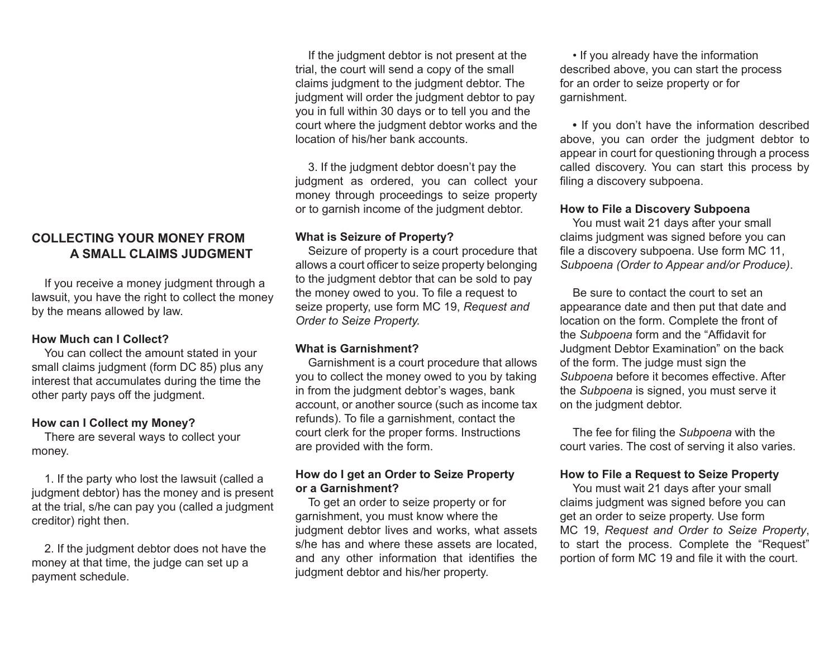# **COLLECTING YOUR MONEY FROM A SMALL CLAIMS JUDGMENT**

If you receive a money judgment through a lawsuit, you have the right to collect the money by the means allowed by law.

### **How Much can I Collect?**

You can collect the amount stated in your small claims judgment (form DC 85) plus any interest that accumulates during the time the other party pays off the judgment.

#### **How can I Collect my Money?**

There are several ways to collect your money.

1. If the party who lost the lawsuit (called a judgment debtor) has the money and is present at the trial, s/he can pay you (called a judgment creditor) right then.

2. If the judgment debtor does not have the money at that time, the judge can set up a payment schedule.

If the judgment debtor is not present at the trial, the court will send a copy of the small claims judgment to the judgment debtor. The judgment will order the judgment debtor to pay you in full within 30 days or to tell you and the court where the judgment debtor works and the location of his/her bank accounts.

3. If the judgment debtor doesn't pay the judgment as ordered, you can collect your money through proceedings to seize property or to garnish income of the judgment debtor.

#### **What is Seizure of Property?**

Seizure of property is a court procedure that allows a court officer to seize property belonging to the judgment debtor that can be sold to pay the money owed to you. To file a request to seize property, use form MC 19, *Request and Order to Seize Property.*

### **What is Garnishment?**

Garnishment is a court procedure that allows you to collect the money owed to you by taking in from the judgment debtor's wages, bank account, or another source (such as income tax refunds). To file a garnishment, contact the court clerk for the proper forms. Instructions are provided with the form.

### **How do I get an Order to Seize Property or a Garnishment?**

To get an order to seize property or for garnishment, you must know where the judgment debtor lives and works, what assets s/he has and where these assets are located, and any other information that identifies the judgment debtor and his/her property.

• If you already have the information described above, you can start the process for an order to seize property or for garnishment.

**•** If you don't have the information described above, you can order the judgment debtor to appear in court for questioning through a process called discovery. You can start this process by filing a discovery subpoena.

#### **How to File a Discovery Subpoena**

You must wait 21 days after your small claims judgment was signed before you can file a discovery subpoena. Use form MC 11, *Subpoena (Order to Appear and/or Produce)*.

Be sure to contact the court to set an appearance date and then put that date and location on the form. Complete the front of the *Subpoena* form and the "Affidavit for Judgment Debtor Examination" on the back of the form. The judge must sign the *Subpoena* before it becomes effective. After the *Subpoena* is signed, you must serve it on the judgment debtor.

The fee for filing the *Subpoena* with the court varies. The cost of serving it also varies.

### **How to File a Request to Seize Property**

You must wait 21 days after your small claims judgment was signed before you can get an order to seize property. Use form MC 19, *Request and Order to Seize Property*, to start the process. Complete the "Request" portion of form MC 19 and file it with the court.